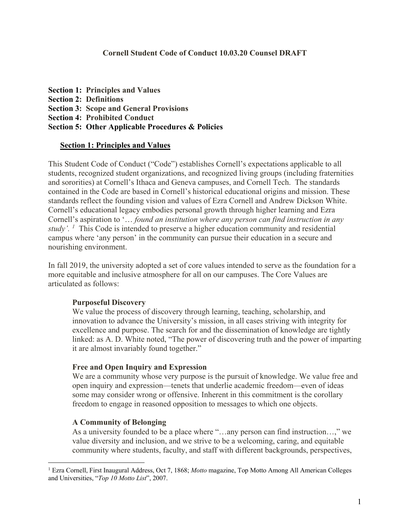#### **Cornell Student Code of Conduct 10.03.20 Counsel DRAFT**

- **Section 1: Principles and Values**
- **Section 2: Definitions**
- **Section 3: Scope and General Provisions**

**Section 4: Prohibited Conduct**

#### **Section 5: Other Applicable Procedures & Policies**

#### **Section 1: Principles and Values**

This Student Code of Conduct ("Code") establishes Cornell's expectations applicable to all students, recognized student organizations, and recognized living groups (including fraternities and sororities) at Cornell's Ithaca and Geneva campuses, and Cornell Tech. The standards contained in the Code are based in Cornell's historical educational origins and mission. These standards reflect the founding vision and values of Ezra Cornell and Andrew Dickson White. Cornell's educational legacy embodies personal growth through higher learning and Ezra Cornell's aspiration to '… *found an institution where any person can find instruction in any study'.* <sup>*[1](#page-0-0)*</sup> This Code is intended to preserve a higher education community and residential campus where 'any person' in the community can pursue their education in a secure and nourishing environment.

In fall 2019, the university adopted a set of core values intended to serve as the foundation for a more equitable and inclusive atmosphere for all on our campuses. The Core Values are articulated as follows:

#### **Purposeful Discovery**

We value the process of discovery through learning, teaching, scholarship, and innovation to advance the University's mission, in all cases striving with integrity for excellence and purpose. The search for and the dissemination of knowledge are tightly linked: as A. D. White noted, "The power of discovering truth and the power of imparting it are almost invariably found together."

#### **Free and Open Inquiry and Expression**

We are a community whose very purpose is the pursuit of knowledge. We value free and open inquiry and expression—tenets that underlie academic freedom—even of ideas some may consider wrong or offensive. Inherent in this commitment is the corollary freedom to engage in reasoned opposition to messages to which one objects.

#### **A Community of Belonging**

 $\overline{a}$ 

As a university founded to be a place where "…any person can find instruction…," we value diversity and inclusion, and we strive to be a welcoming, caring, and equitable community where students, faculty, and staff with different backgrounds, perspectives,

<span id="page-0-0"></span><sup>1</sup> Ezra Cornell, First Inaugural Address, Oct 7, 1868; *Motto* magazine, Top Motto Among All American Colleges and Universities, "*Top 10 Motto List*", 2007.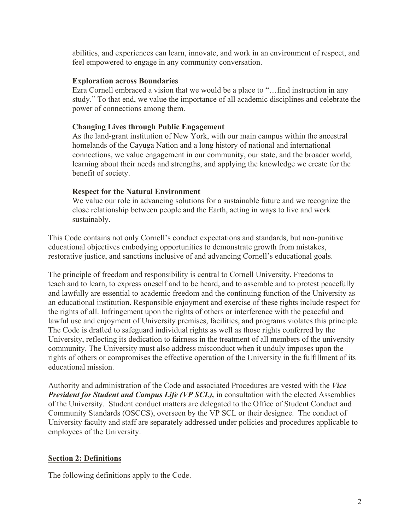abilities, and experiences can learn, innovate, and work in an environment of respect, and feel empowered to engage in any community conversation.

#### **Exploration across Boundaries**

Ezra Cornell embraced a vision that we would be a place to "…find instruction in any study." To that end, we value the importance of all academic disciplines and celebrate the power of connections among them.

#### **Changing Lives through Public Engagement**

As the land-grant institution of New York, with our main campus within the ancestral homelands of the Cayuga Nation and a long history of national and international connections, we value engagement in our community, our state, and the broader world, learning about their needs and strengths, and applying the knowledge we create for the benefit of society.

#### **Respect for the Natural Environment**

We value our role in advancing solutions for a sustainable future and we recognize the close relationship between people and the Earth, acting in ways to live and work sustainably.

This Code contains not only Cornell's conduct expectations and standards, but non-punitive educational objectives embodying opportunities to demonstrate growth from mistakes, restorative justice, and sanctions inclusive of and advancing Cornell's educational goals.

The principle of freedom and responsibility is central to Cornell University. Freedoms to teach and to learn, to express oneself and to be heard, and to assemble and to protest peacefully and lawfully are essential to academic freedom and the continuing function of the University as an educational institution. Responsible enjoyment and exercise of these rights include respect for the rights of all. Infringement upon the rights of others or interference with the peaceful and lawful use and enjoyment of University premises, facilities, and programs violates this principle. The Code is drafted to safeguard individual rights as well as those rights conferred by the University, reflecting its dedication to fairness in the treatment of all members of the university community. The University must also address misconduct when it unduly imposes upon the rights of others or compromises the effective operation of the University in the fulfillment of its educational mission.

Authority and administration of the Code and associated Procedures are vested with the *Vice President for Student and Campus Life (VP SCL),* in consultation with the elected Assemblies of the University. Student conduct matters are delegated to the Office of Student Conduct and Community Standards (OSCCS), overseen by the VP SCL or their designee. The conduct of University faculty and staff are separately addressed under policies and procedures applicable to employees of the University.

### **Section 2: Definitions**

The following definitions apply to the Code.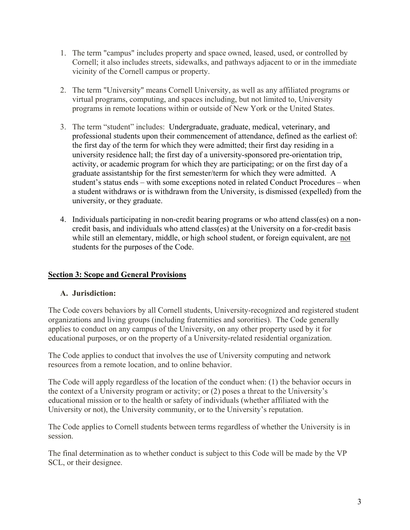- 1. The term "campus" includes property and space owned, leased, used, or controlled by Cornell; it also includes streets, sidewalks, and pathways adjacent to or in the immediate vicinity of the Cornell campus or property.
- 2. The term "University" means Cornell University, as well as any affiliated programs or virtual programs, computing, and spaces including, but not limited to, University programs in remote locations within or outside of New York or the United States.
- 3. The term "student" includes: Undergraduate, graduate, medical, veterinary, and professional students upon their commencement of attendance, defined as the earliest of: the first day of the term for which they were admitted; their first day residing in a university residence hall; the first day of a university-sponsored pre-orientation trip, activity, or academic program for which they are participating; or on the first day of a graduate assistantship for the first semester/term for which they were admitted. A student's status ends – with some exceptions noted in related Conduct Procedures – when a student withdraws or is withdrawn from the University, is dismissed (expelled) from the university, or they graduate.
- 4. Individuals participating in non-credit bearing programs or who attend class(es) on a noncredit basis, and individuals who attend class(es) at the University on a for-credit basis while still an elementary, middle, or high school student, or foreign equivalent, are not students for the purposes of the Code.

## **Section 3: Scope and General Provisions**

### **A. Jurisdiction:**

The Code covers behaviors by all Cornell students, University-recognized and registered student organizations and living groups (including fraternities and sororities). The Code generally applies to conduct on any campus of the University, on any other property used by it for educational purposes, or on the property of a University-related residential organization.

The Code applies to conduct that involves the use of University computing and network resources from a remote location, and to online behavior.

The Code will apply regardless of the location of the conduct when: (1) the behavior occurs in the context of a University program or activity; or (2) poses a threat to the University's educational mission or to the health or safety of individuals (whether affiliated with the University or not), the University community, or to the University's reputation.

The Code applies to Cornell students between terms regardless of whether the University is in session.

The final determination as to whether conduct is subject to this Code will be made by the VP SCL, or their designee.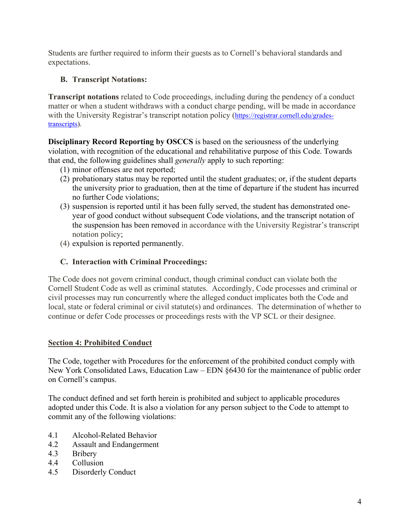Students are further required to inform their guests as to Cornell's behavioral standards and expectations.

## **B. Transcript Notations:**

**Transcript notations** related to Code proceedings, including during the pendency of a conduct matter or when a student withdraws with a conduct charge pending, will be made in accordance with the University Registrar's transcript notation policy [\(https://registrar.cornell.edu/grades](https://registrar.cornell.edu/grades-transcripts)[transcripts\)](https://registrar.cornell.edu/grades-transcripts).

**Disciplinary Record Reporting by OSCCS** is based on the seriousness of the underlying violation, with recognition of the educational and rehabilitative purpose of this Code. Towards that end, the following guidelines shall *generally* apply to such reporting:

- (1) minor offenses are not reported;
- (2) probationary status may be reported until the student graduates; or, if the student departs the university prior to graduation, then at the time of departure if the student has incurred no further Code violations;
- (3) suspension is reported until it has been fully served, the student has demonstrated oneyear of good conduct without subsequent Code violations, and the transcript notation of the suspension has been removed in accordance with the University Registrar's transcript notation policy;
- (4) expulsion is reported permanently.

## **C. Interaction with Criminal Proceedings:**

The Code does not govern criminal conduct, though criminal conduct can violate both the Cornell Student Code as well as criminal statutes. Accordingly, Code processes and criminal or civil processes may run concurrently where the alleged conduct implicates both the Code and local, state or federal criminal or civil statute(s) and ordinances. The determination of whether to continue or defer Code processes or proceedings rests with the VP SCL or their designee.

## **Section 4: Prohibited Conduct**

The Code, together with Procedures for the enforcement of the prohibited conduct comply with New York Consolidated Laws, Education Law – EDN §6430 for the maintenance of public order on Cornell's campus.

The conduct defined and set forth herein is prohibited and subject to applicable procedures adopted under this Code. It is also a violation for any person subject to the Code to attempt to commit any of the following violations:

- 4.1 Alcohol-Related Behavior
- 4.2 Assault and Endangerment
- 4.3 Bribery
- 4.4 Collusion
- 4.5 Disorderly Conduct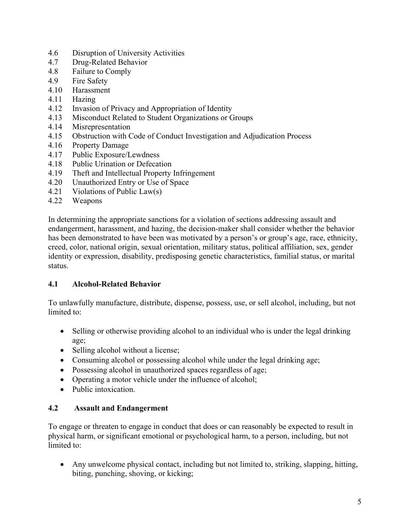- 4.6 Disruption of University Activities
- 4.7 Drug-Related Behavior
- 4.8 Failure to Comply
- 4.9 Fire Safety
- 4.10 Harassment
- 4.11 Hazing
- 4.12 Invasion of Privacy and Appropriation of Identity
- 4.13 Misconduct Related to Student Organizations or Groups
- 4.14 Misrepresentation
- 4.15 Obstruction with Code of Conduct Investigation and Adjudication Process
- 4.16 Property Damage
- 4.17 Public Exposure/Lewdness
- 4.18 Public Urination or Defecation
- 4.19 Theft and Intellectual Property Infringement
- 4.20 Unauthorized Entry or Use of Space
- 4.21 Violations of Public Law(s)
- 4.22 Weapons

In determining the appropriate sanctions for a violation of sections addressing assault and endangerment, harassment, and hazing, the decision-maker shall consider whether the behavior has been demonstrated to have been was motivated by a person's or group's age, race, ethnicity, creed, color, national origin, sexual orientation, military status, political affiliation, sex, gender identity or expression, disability, predisposing genetic characteristics, familial status, or marital status.

## **4.1 Alcohol-Related Behavior**

To unlawfully manufacture, distribute, dispense, possess, use, or sell alcohol, including, but not limited to:

- Selling or otherwise providing alcohol to an individual who is under the legal drinking age;
- Selling alcohol without a license;
- Consuming alcohol or possessing alcohol while under the legal drinking age;
- Possessing alcohol in unauthorized spaces regardless of age;
- Operating a motor vehicle under the influence of alcohol;
- Public intoxication.

### **4.2 Assault and Endangerment**

To engage or threaten to engage in conduct that does or can reasonably be expected to result in physical harm, or significant emotional or psychological harm, to a person, including, but not limited to:

• Any unwelcome physical contact, including but not limited to, striking, slapping, hitting, biting, punching, shoving, or kicking;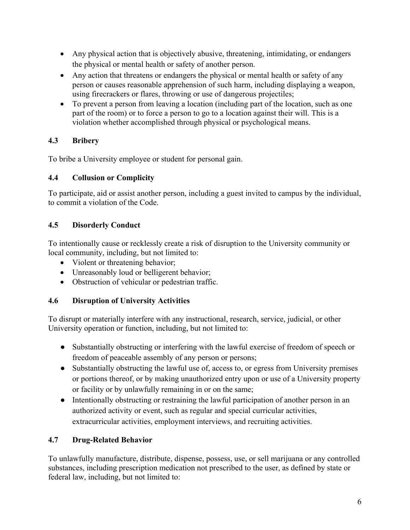- Any physical action that is objectively abusive, threatening, intimidating, or endangers the physical or mental health or safety of another person.
- Any action that threatens or endangers the physical or mental health or safety of any person or causes reasonable apprehension of such harm, including displaying a weapon, using firecrackers or flares, throwing or use of dangerous projectiles;
- To prevent a person from leaving a location (including part of the location, such as one part of the room) or to force a person to go to a location against their will. This is a violation whether accomplished through physical or psychological means.

# **4.3 Bribery**

To bribe a University employee or student for personal gain.

## **4.4 Collusion or Complicity**

To participate, aid or assist another person, including a guest invited to campus by the individual, to commit a violation of the Code.

# **4.5 Disorderly Conduct**

To intentionally cause or recklessly create a risk of disruption to the University community or local community, including, but not limited to:

- Violent or threatening behavior;
- Unreasonably loud or belligerent behavior;
- Obstruction of vehicular or pedestrian traffic.

## **4.6 Disruption of University Activities**

To disrupt or materially interfere with any instructional, research, service, judicial, or other University operation or function, including, but not limited to:

- Substantially obstructing or interfering with the lawful exercise of freedom of speech or freedom of peaceable assembly of any person or persons;
- Substantially obstructing the lawful use of, access to, or egress from University premises or portions thereof, or by making unauthorized entry upon or use of a University property or facility or by unlawfully remaining in or on the same;
- Intentionally obstructing or restraining the lawful participation of another person in an authorized activity or event, such as regular and special curricular activities, extracurricular activities, employment interviews, and recruiting activities.

# **4.7 Drug-Related Behavior**

To unlawfully manufacture, distribute, dispense, possess, use, or sell marijuana or any controlled substances, including prescription medication not prescribed to the user, as defined by state or federal law, including, but not limited to: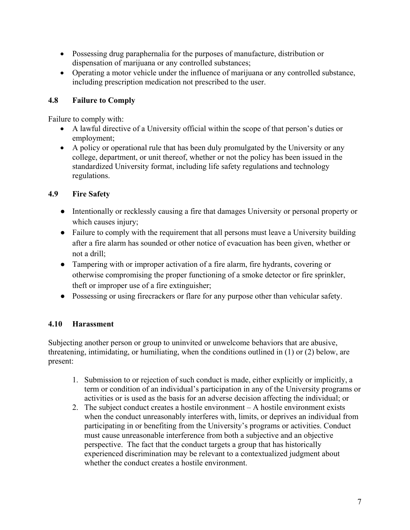- Possessing drug paraphernalia for the purposes of manufacture, distribution or dispensation of marijuana or any controlled substances;
- Operating a motor vehicle under the influence of marijuana or any controlled substance, including prescription medication not prescribed to the user.

## **4.8 Failure to Comply**

Failure to comply with:

- A lawful directive of a University official within the scope of that person's duties or employment;
- A policy or operational rule that has been duly promulgated by the University or any college, department, or unit thereof, whether or not the policy has been issued in the standardized University format, including life safety regulations and technology regulations.

## **4.9 Fire Safety**

- Intentionally or recklessly causing a fire that damages University or personal property or which causes injury;
- Failure to comply with the requirement that all persons must leave a University building after a fire alarm has sounded or other notice of evacuation has been given, whether or not a drill;
- Tampering with or improper activation of a fire alarm, fire hydrants, covering or otherwise compromising the proper functioning of a smoke detector or fire sprinkler, theft or improper use of a fire extinguisher;
- Possessing or using firecrackers or flare for any purpose other than vehicular safety.

## **4.10 Harassment**

Subjecting another person or group to uninvited or unwelcome behaviors that are abusive, threatening, intimidating, or humiliating, when the conditions outlined in (1) or (2) below, are present:

- 1. Submission to or rejection of such conduct is made, either explicitly or implicitly, a term or condition of an individual's participation in any of the University programs or activities or is used as the basis for an adverse decision affecting the individual; or
- 2. The subject conduct creates a hostile environment A hostile environment exists when the conduct unreasonably interferes with, limits, or deprives an individual from participating in or benefiting from the University's programs or activities. Conduct must cause unreasonable interference from both a subjective and an objective perspective. The fact that the conduct targets a group that has historically experienced discrimination may be relevant to a contextualized judgment about whether the conduct creates a hostile environment.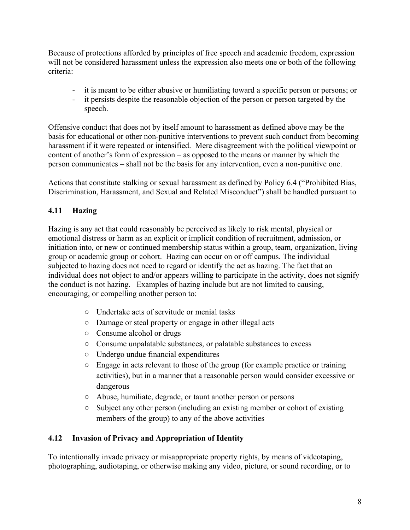Because of protections afforded by principles of free speech and academic freedom, expression will not be considered harassment unless the expression also meets one or both of the following criteria:

- it is meant to be either abusive or humiliating toward a specific person or persons; or
- it persists despite the reasonable objection of the person or person targeted by the speech.

Offensive conduct that does not by itself amount to harassment as defined above may be the basis for educational or other non-punitive interventions to prevent such conduct from becoming harassment if it were repeated or intensified. Mere disagreement with the political viewpoint or content of another's form of expression – as opposed to the means or manner by which the person communicates – shall not be the basis for any intervention, even a non-punitive one.

Actions that constitute stalking or sexual harassment as defined by Policy 6.4 ("Prohibited Bias, Discrimination, Harassment, and Sexual and Related Misconduct") shall be handled pursuant to

# **4.11 Hazing**

Hazing is any act that could reasonably be perceived as likely to risk mental, physical or emotional distress or harm as an explicit or implicit condition of recruitment, admission, or initiation into, or new or continued membership status within a group, team, organization, living group or academic group or cohort. Hazing can occur on or off campus. The individual subjected to hazing does not need to regard or identify the act as hazing. The fact that an individual does not object to and/or appears willing to participate in the activity, does not signify the conduct is not hazing. Examples of hazing include but are not limited to causing, encouraging, or compelling another person to:

- Undertake acts of servitude or menial tasks
- Damage or steal property or engage in other illegal acts
- Consume alcohol or drugs
- Consume unpalatable substances, or palatable substances to excess
- Undergo undue financial expenditures
- Engage in acts relevant to those of the group (for example practice or training activities), but in a manner that a reasonable person would consider excessive or dangerous
- Abuse, humiliate, degrade, or taunt another person or persons
- Subject any other person (including an existing member or cohort of existing members of the group) to any of the above activities

## **4.12 Invasion of Privacy and Appropriation of Identity**

To intentionally invade privacy or misappropriate property rights, by means of videotaping, photographing, audiotaping, or otherwise making any video, picture, or sound recording, or to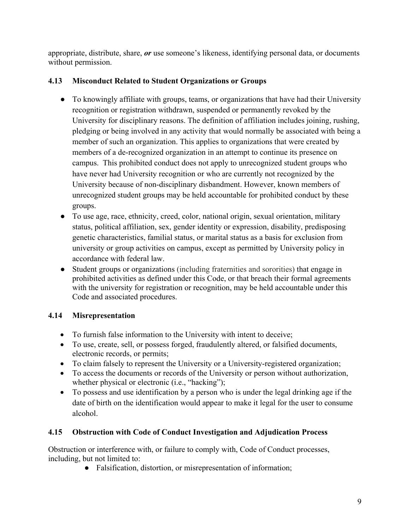appropriate, distribute, share, *or* use someone's likeness, identifying personal data, or documents without permission.

## **4.13 Misconduct Related to Student Organizations or Groups**

- To knowingly affiliate with groups, teams, or organizations that have had their University recognition or registration withdrawn, suspended or permanently revoked by the University for disciplinary reasons. The definition of affiliation includes joining, rushing, pledging or being involved in any activity that would normally be associated with being a member of such an organization. This applies to organizations that were created by members of a de-recognized organization in an attempt to continue its presence on campus. This prohibited conduct does not apply to unrecognized student groups who have never had University recognition or who are currently not recognized by the University because of non-disciplinary disbandment. However, known members of unrecognized student groups may be held accountable for prohibited conduct by these groups.
- To use age, race, ethnicity, creed, color, national origin, sexual orientation, military status, political affiliation, sex, gender identity or expression, disability, predisposing genetic characteristics, familial status, or marital status as a basis for exclusion from university or group activities on campus, except as permitted by University policy in accordance with federal law.
- Student groups or organizations (including fraternities and sororities) that engage in prohibited activities as defined under this Code, or that breach their formal agreements with the university for registration or recognition, may be held accountable under this Code and associated procedures.

# **4.14 Misrepresentation**

- To furnish false information to the University with intent to deceive;
- To use, create, sell, or possess forged, fraudulently altered, or falsified documents, electronic records, or permits;
- To claim falsely to represent the University or a University-registered organization;
- To access the documents or records of the University or person without authorization, whether physical or electronic (i.e., "hacking");
- To possess and use identification by a person who is under the legal drinking age if the date of birth on the identification would appear to make it legal for the user to consume alcohol.

# **4.15 Obstruction with Code of Conduct Investigation and Adjudication Process**

Obstruction or interference with, or failure to comply with, Code of Conduct processes, including, but not limited to:

● Falsification, distortion, or misrepresentation of information;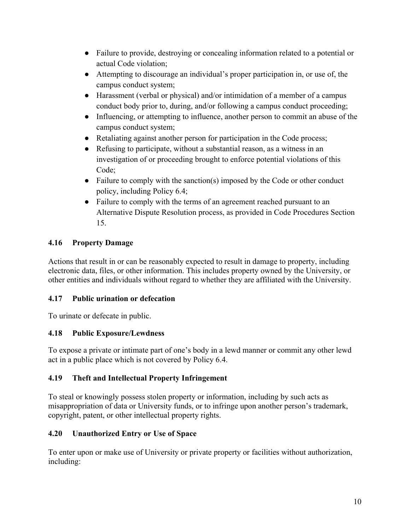- Failure to provide, destroying or concealing information related to a potential or actual Code violation;
- Attempting to discourage an individual's proper participation in, or use of, the campus conduct system;
- Harassment (verbal or physical) and/or intimidation of a member of a campus conduct body prior to, during, and/or following a campus conduct proceeding;
- Influencing, or attempting to influence, another person to commit an abuse of the campus conduct system;
- Retaliating against another person for participation in the Code process;
- Refusing to participate, without a substantial reason, as a witness in an investigation of or proceeding brought to enforce potential violations of this Code;
- Failure to comply with the sanction(s) imposed by the Code or other conduct policy, including Policy 6.4;
- Failure to comply with the terms of an agreement reached pursuant to an Alternative Dispute Resolution process, as provided in Code Procedures Section 15.

# **4.16 Property Damage**

Actions that result in or can be reasonably expected to result in damage to property, including electronic data, files, or other information. This includes property owned by the University, or other entities and individuals without regard to whether they are affiliated with the University.

# **4.17 Public urination or defecation**

To urinate or defecate in public.

# **4.18 Public Exposure/Lewdness**

To expose a private or intimate part of one's body in a lewd manner or commit any other lewd act in a public place which is not covered by Policy 6.4.

# **4.19 Theft and Intellectual Property Infringement**

To steal or knowingly possess stolen property or information, including by such acts as misappropriation of data or University funds, or to infringe upon another person's trademark, copyright, patent, or other intellectual property rights.

# **4.20 Unauthorized Entry or Use of Space**

To enter upon or make use of University or private property or facilities without authorization, including: